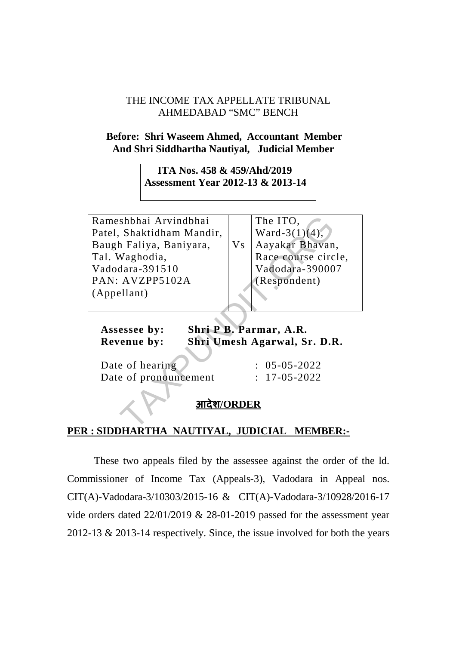## THE INCOME TAX APPELLATE TRIBUNAL AHMEDABAD "SMC" BENCH

## **Before: Shri Waseem Ahmed, Accountant Member And Shri Siddhartha Nautiyal, Judicial Member**

 **ITA Nos. 458 & 459/Ahd/2019 Assessment Year 2012-13 & 2013-14** 

Rameshbhai Arvindbhai Patel, Shaktidham Mandir, Baugh Faliya, Baniyara, Tal. Waghodia, Vadodara-391510 PAN: AVZPP5102A (Appellant) Shaktidham Mandir,<br>
Naktidham Mandir,<br>
Naghodia,<br>
Naghodia,<br>
Naghodia,<br>
Naghodia,<br>
Naghodia,<br>
Naghodia,<br>
Naghodia,<br>
Naghodia,<br>
Naghodia,<br>
Naghodia,<br>
Naghodia,<br>
Naghodia,<br>
Naghodia,<br>
Naghodia,<br>
Naghodia,<br>
Naghodia,<br>
Naghodi

Vs The ITO, Ward-3(1) $(4)$ , Aayakar Bhavan, Race course circle, Vadodara-390007 (Respondent)

 **Assessee by: Shri P B. Parmar, A.R. Revenue by: Shri Umesh Agarwal, Sr. D.R.** 

Date of hearing  $\therefore$  05-05-2022 Date of pronouncement : 17-05-2022

## **आदेश/ORDER**

## **PER : SIDDHARTHA NAUTIYAL, JUDICIAL MEMBER:-**

These two appeals filed by the assessee against the order of the ld. Commissioner of Income Tax (Appeals-3), Vadodara in Appeal nos. CIT(A)-Vadodara-3/10303/2015-16 & CIT(A)-Vadodara-3/10928/2016-17 vide orders dated 22/01/2019 & 28-01-2019 passed for the assessment year 2012-13 & 2013-14 respectively. Since, the issue involved for both the years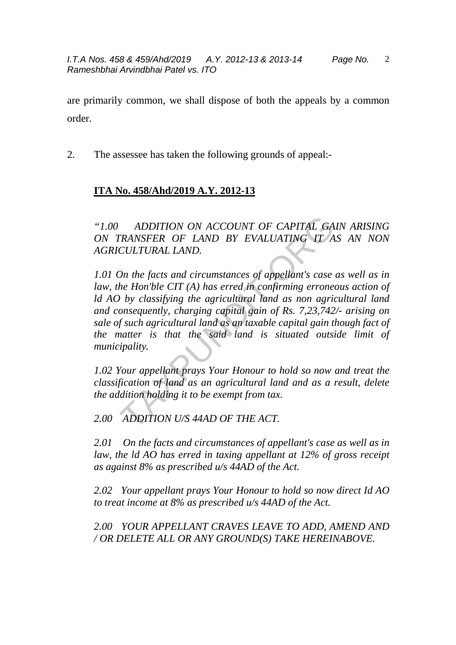2

are primarily common, we shall dispose of both the appeals by a common order.

2. The assessee has taken the following grounds of appeal:-

## **ITA No. 458/Ahd/2019 A.Y. 2012-13**

*"1.00 ADDITION ON ACCOUNT OF CAPITAL GAIN ARISING ON TRANSFER OF LAND BY EVALUATING IT AS AN NON AGRICULTURAL LAND.* 

*1.01 On the facts and circumstances of appellant's case as well as in law, the Hon'ble CIT (A) has erred in confirming erroneous action of ld AO by classifying the agricultural land as non agricultural land and consequently, charging capital gain of Rs. 7,23,742/- arising on sale of such agricultural land as an taxable capital gain though fact of the matter is that the said land is situated outside limit of municipality.*  ADDITION ON ACCOUNT OF CAPITAL GA<br>
TRANSFER OF LAND BY EVALUATING IT A<br>
CULTURAL LAND.<br>
On the facts and circumstances of appellant's case<br>
the Hon'ble CIT (A) has erred in confirming errone<br>
(b) by classifying the agricul

*1.02 Your appellant prays Your Honour to hold so now and treat the classification of land as an agricultural land and as a result, delete the addition holding it to be exempt from tax.* 

*2.00 ADDITION U/S 44AD OF THE ACT.* 

*2.01 On the facts and circumstances of appellant's case as well as in law, the ld AO has erred in taxing appellant at 12% of gross receipt as against 8% as prescribed u/s 44AD of the Act.* 

*2.02 Your appellant prays Your Honour to hold so now direct Id AO to treat income at 8% as prescribed u/s 44AD of the Act.* 

*2.00 YOUR APPELLANT CRAVES LEAVE TO ADD, AMEND AND / OR DELETE ALL OR ANY GROUND(S) TAKE HEREINABOVE.*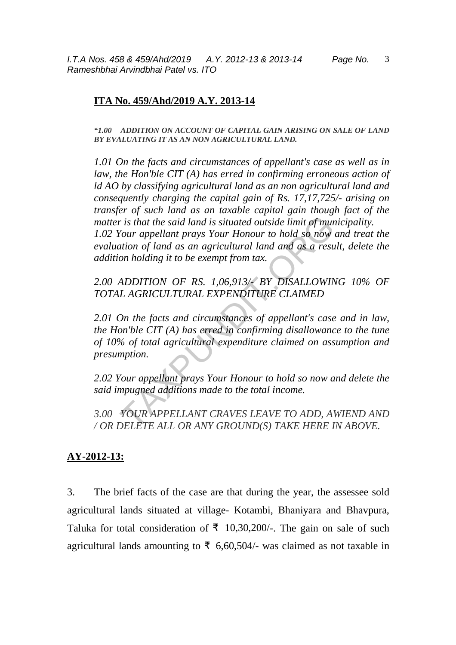I.T.A Nos. 458 & 459/Ahd/2019 A.Y. 2012-13 & 2013-14 Page No. Rameshbhai Arvindbhai Patel vs. ITO

## **ITA No. 459/Ahd/2019 A.Y. 2013-14**

*"1.00 ADDITION ON ACCOUNT OF CAPITAL GAIN ARISING ON SALE OF LAND BY EVALUATING IT AS AN NON AGRICULTURAL LAND.* 

*1.01 On the facts and circumstances of appellant's case as well as in law, the Hon'ble CIT (A) has erred in confirming erroneous action of ld AO by classifying agricultural land as an non agricultural land and consequently charging the capital gain of Rs. 17,17,725/- arising on transfer of such land as an taxable capital gain though fact of the matter is that the said land is situated outside limit of municipality. 1.02 Your appellant prays Your Honour to hold so now and treat the evaluation of land as an agricultural land and as a result, delete the addition holding it to be exempt from tax.*  r is that the said land is situated outside limit of murdiour appellant prays Your Honour to hold so now attion of land as an agricultural land and as a resumption holding it to be exempt from tax.<br>ADDITION OF RS. 1,06,913

*2.00 ADDITION OF RS. 1,06,913/- BY DISALLOWING 10% OF TOTAL AGRICULTURAL EXPENDITURE CLAIMED* 

*2.01 On the facts and circumstances of appellant's case and in law, the Hon'ble CIT (A) has erred in confirming disallowance to the tune of 10% of total agricultural expenditure claimed on assumption and presumption.* 

*2.02 Your appellant prays Your Honour to hold so now and delete the said impugned additions made to the total income.* 

*3.00 YOUR APPELLANT CRAVES LEAVE TO ADD, AWIEND AND / OR DELETE ALL OR ANY GROUND(S) TAKE HERE IN ABOVE.*

## **AY-2012-13:**

3. The brief facts of the case are that during the year, the assessee sold agricultural lands situated at village- Kotambi, Bhaniyara and Bhavpura, Taluka for total consideration of  $\bar{\tau}$  10,30,200/-. The gain on sale of such agricultural lands amounting to  $\bar{\tau}$  6,60,504/- was claimed as not taxable in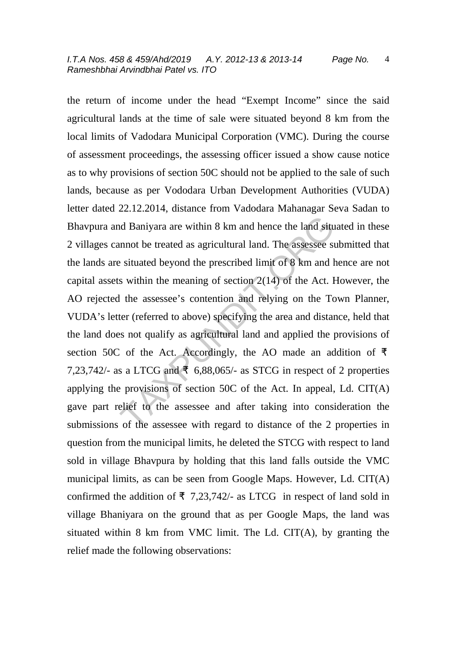the return of income under the head "Exempt Income" since the said agricultural lands at the time of sale were situated beyond 8 km from the local limits of Vadodara Municipal Corporation (VMC). During the course of assessment proceedings, the assessing officer issued a show cause notice as to why provisions of section 50C should not be applied to the sale of such lands, because as per Vododara Urban Development Authorities (VUDA) letter dated 22.12.2014, distance from Vadodara Mahanagar Seva Sadan to Bhavpura and Baniyara are within 8 km and hence the land situated in these 2 villages cannot be treated as agricultural land. The assessee submitted that the lands are situated beyond the prescribed limit of 8 km and hence are not capital assets within the meaning of section  $2(14)$  of the Act. However, the AO rejected the assessee's contention and relying on the Town Planner, VUDA's letter (referred to above) specifying the area and distance, held that the land does not qualify as agricultural land and applied the provisions of section 50C of the Act. Accordingly, the AO made an addition of  $\bar{\tau}$ 7,23,742/- as a LTCG and  $\overline{5}$  6,88,065/- as STCG in respect of 2 properties applying the provisions of section 50C of the Act. In appeal, Ld. CIT(A) gave part relief to the assessee and after taking into consideration the submissions of the assessee with regard to distance of the 2 properties in question from the municipal limits, he deleted the STCG with respect to land sold in village Bhavpura by holding that this land falls outside the VMC municipal limits, as can be seen from Google Maps. However, Ld. CIT(A) confirmed the addition of  $\overline{5}$  7,23,742/- as LTCG in respect of land sold in village Bhaniyara on the ground that as per Google Maps, the land was situated within 8 km from VMC limit. The Ld. CIT(A), by granting the relief made the following observations: and Baniyara are within 8 km and hence the land situde that the treated as agricultural land. The assessee se situated beyond the prescribed limit of 8 km and 1 s within the meaning of section 2(14) of the Act. If the ass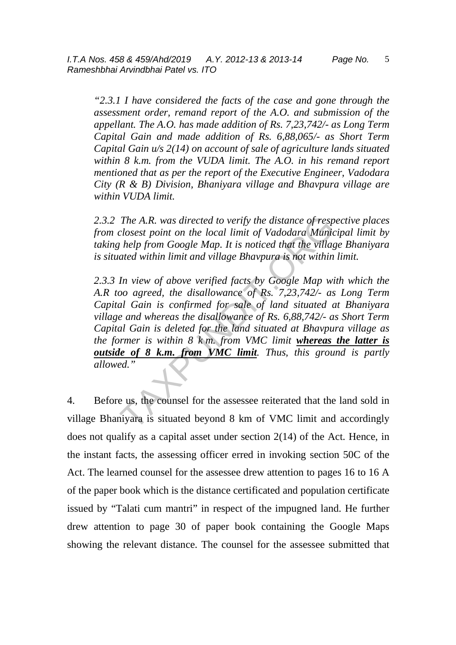*"2.3.1 I have considered the facts of the case and gone through the assessment order, remand report of the A.O. and submission of the appellant. The A.O. has made addition of Rs. 7,23,742/- as Long Term Capital Gain and made addition of Rs. 6,88,065/- as Short Term Capital Gain u/s 2(14) on account of sale of agriculture lands situated within 8 k.m. from the VUDA limit. The A.O. in his remand report mentioned that as per the report of the Executive Engineer, Vadodara City (R & B) Division, Bhaniyara village and Bhavpura village are within VUDA limit.* 

*2.3.2 The A.R. was directed to verify the distance of respective places from closest point on the local limit of Vadodara Municipal limit by taking help from Google Map. It is noticed that the village Bhaniyara is situated within limit and village Bhavpura is not within limit.* 

*2.3.3 In view of above verified facts by Google Map with which the A.R too agreed, the disallowance of Rs. 7,23,742/- as Long Term Capital Gain is confirmed for sale of land situated at Bhaniyara village and whereas the disallowance of Rs. 6,88,742/- as Short Term Capital Gain is deleted for the land situated at Bhavpura village as the former is within 8 k m. from VMC limit whereas the latter is outside of 8 k.m. from VMC limit. Thus, this ground is partly allowed."*  The A.R. was directed to verify the distance of resp<br>closest point on the local limit of Vadodara Munic<br>help from Google Map. It is noticed that the village<br>ated within limit and village Bhavpura is not within<br>In view of a

4. Before us, the counsel for the assessee reiterated that the land sold in village Bhaniyara is situated beyond 8 km of VMC limit and accordingly does not qualify as a capital asset under section 2(14) of the Act. Hence, in the instant facts, the assessing officer erred in invoking section 50C of the Act. The learned counsel for the assessee drew attention to pages 16 to 16 A of the paper book which is the distance certificated and population certificate issued by "Talati cum mantri" in respect of the impugned land. He further drew attention to page 30 of paper book containing the Google Maps showing the relevant distance. The counsel for the assessee submitted that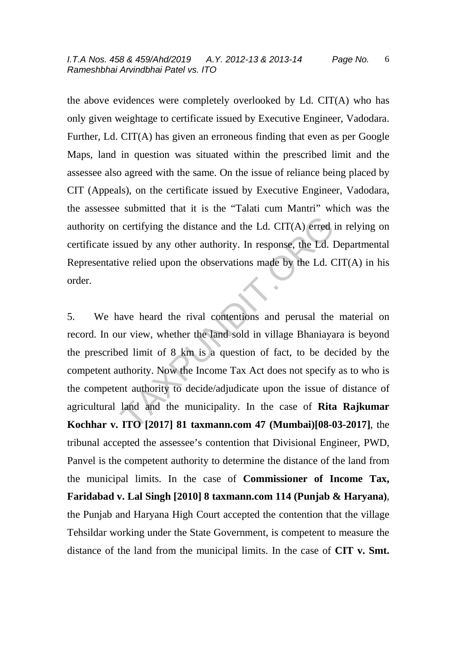the above evidences were completely overlooked by Ld. CIT(A) who has only given weightage to certificate issued by Executive Engineer, Vadodara. Further, Ld. CIT(A) has given an erroneous finding that even as per Google Maps, land in question was situated within the prescribed limit and the assessee also agreed with the same. On the issue of reliance being placed by CIT (Appeals), on the certificate issued by Executive Engineer, Vadodara, the assessee submitted that it is the "Talati cum Mantri" which was the authority on certifying the distance and the Ld. CIT(A) erred in relying on certificate issued by any other authority. In response, the Ld. Departmental Representative relied upon the observations made by the Ld. CIT(A) in his order.

5. We have heard the rival contentions and perusal the material on record. In our view, whether the land sold in village Bhaniayara is beyond the prescribed limit of 8 km is a question of fact, to be decided by the competent authority. Now the Income Tax Act does not specify as to who is the competent authority to decide/adjudicate upon the issue of distance of agricultural land and the municipality. In the case of **Rita Rajkumar Kochhar v. ITO [2017] 81 taxmann.com 47 (Mumbai)[08-03-2017]**, the tribunal accepted the assessee's contention that Divisional Engineer, PWD, Panvel is the competent authority to determine the distance of the land from the municipal limits. In the case of **Commissioner of Income Tax, Faridabad v. Lal Singh [2010] 8 taxmann.com 114 (Punjab & Haryana)**, the Punjab and Haryana High Court accepted the contention that the village Tehsildar working under the State Government, is competent to measure the distance of the land from the municipal limits. In the case of **CIT v. Smt.**  certifying the distance and the Ld. CIT(A) erred is<br>sued by any other authority. In response, the Ld. I<br>ve relied upon the observations made by the Ld. C<br>ave relied upon the observations and eer Ld. C<br>ave heard the rival c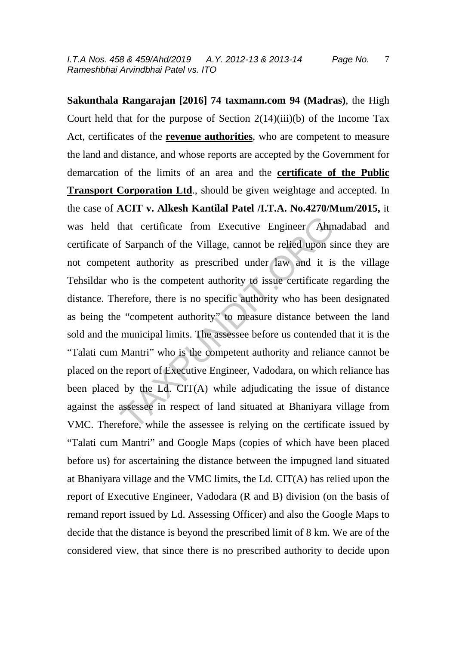**Sakunthala Rangarajan [2016] 74 taxmann.com 94 (Madras)**, the High Court held that for the purpose of Section  $2(14)(iii)(b)$  of the Income Tax Act, certificates of the **revenue authorities**, who are competent to measure the land and distance, and whose reports are accepted by the Government for demarcation of the limits of an area and the **certificate of the Public Transport Corporation Ltd**., should be given weightage and accepted. In the case of **ACIT v. Alkesh Kantilal Patel /I.T.A. No.4270/Mum/2015,** it was held that certificate from Executive Engineer Ahmadabad and certificate of Sarpanch of the Village, cannot be relied upon since they are not competent authority as prescribed under law and it is the village Tehsildar who is the competent authority to issue certificate regarding the distance. Therefore, there is no specific authority who has been designated as being the "competent authority" to measure distance between the land sold and the municipal limits. The assessee before us contended that it is the "Talati cum Mantri" who is the competent authority and reliance cannot be placed on the report of Executive Engineer, Vadodara, on which reliance has been placed by the Ld. CIT(A) while adjudicating the issue of distance against the assessee in respect of land situated at Bhaniyara village from VMC. Therefore, while the assessee is relying on the certificate issued by "Talati cum Mantri" and Google Maps (copies of which have been placed before us) for ascertaining the distance between the impugned land situated at Bhaniyara village and the VMC limits, the Ld. CIT(A) has relied upon the report of Executive Engineer, Vadodara (R and B) division (on the basis of remand report issued by Ld. Assessing Officer) and also the Google Maps to decide that the distance is beyond the prescribed limit of 8 km. We are of the considered view, that since there is no prescribed authority to decide upon that certificate from Executive Engineer Ahm<br>
f Sarpanch of the Village, cannot be relied upon si<br>
ent authority as prescribed under law and it is<br>
ho is the competent authority to issue certificate r<br>
erefore, there is no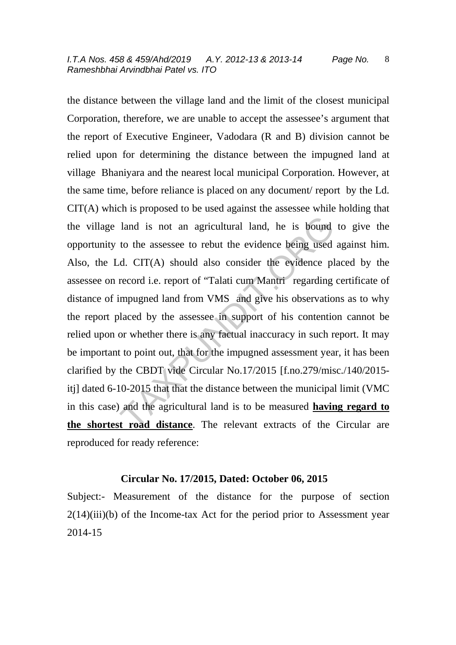the distance between the village land and the limit of the closest municipal Corporation, therefore, we are unable to accept the assessee's argument that the report of Executive Engineer, Vadodara (R and B) division cannot be relied upon for determining the distance between the impugned land at village Bhaniyara and the nearest local municipal Corporation. However, at the same time, before reliance is placed on any document/ report by the Ld. CIT(A) which is proposed to be used against the assessee while holding that the village land is not an agricultural land, he is bound to give the opportunity to the assessee to rebut the evidence being used against him. Also, the Ld. CIT(A) should also consider the evidence placed by the assessee on record i.e. report of "Talati cum Mantri regarding certificate of distance of impugned land from VMS and give his observations as to why the report placed by the assessee in support of his contention cannot be relied upon or whether there is any factual inaccuracy in such report. It may be important to point out, that for the impugned assessment year, it has been clarified by the CBDT vide Circular No.17/2015 [f.no.279/misc./140/2015 itj] dated 6-10-2015 that that the distance between the municipal limit (VMC in this case) and the agricultural land is to be measured **having regard to the shortest road distance**. The relevant extracts of the Circular are reproduced for ready reference: land is not an agricultural land, he is bound<br>to the assessee to rebut the evidence being used<br>d. CIT(A) should also consider the evidence pl<br>record i.e. report of "Talati cum Mantri regarding<br>impugned land from VMS and gi

#### **Circular No. 17/2015, Dated: October 06, 2015**

Subject:- Measurement of the distance for the purpose of section  $2(14)(iii)$ (b) of the Income-tax Act for the period prior to Assessment year 2014-15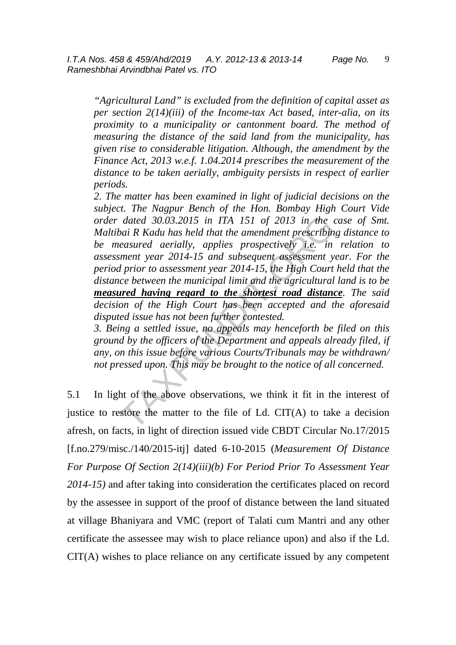*"Agricultural Land" is excluded from the definition of capital asset as per section 2(14)(iii) of the Income-tax Act based, inter-alia, on its proximity to a municipality or cantonment board. The method of measuring the distance of the said land from the municipality, has given rise to considerable litigation. Although, the amendment by the Finance Act, 2013 w.e.f. 1.04.2014 prescribes the measurement of the distance to be taken aerially, ambiguity persists in respect of earlier periods.* 

*2. The matter has been examined in light of judicial decisions on the subject. The Nagpur Bench of the Hon. Bombay High Court Vide order dated 30.03.2015 in ITA 151 of 2013 in the case of Smt. Maltibai R Kadu has held that the amendment prescribing distance to be measured aerially, applies prospectively i.e. in relation to assessment year 2014-15 and subsequent assessment year. For the period prior to assessment year 2014-15, the High Court held that the distance between the municipal limit and the agricultural land is to be measured having regard to the shortest road distance. The said decision of the High Court has been accepted and the aforesaid disputed issue has not been further contested.*  dated 30.03.2015 in ITA 151 of 2013 in the value of  $R$  Kadu has held that the amendment prescribin easured aerially, applies prospectively i.e. in ment year 2014-15 and subsequent assessment y l prior to assessment year

*3. Being a settled issue, no appeals may henceforth be filed on this ground by the officers of the Department and appeals already filed, if any, on this issue before various Courts/Tribunals may be withdrawn/ not pressed upon. This may be brought to the notice of all concerned.* 

5.1 In light of the above observations, we think it fit in the interest of justice to restore the matter to the file of Ld.  $CIT(A)$  to take a decision afresh, on facts, in light of direction issued vide CBDT Circular No.17/2015 [f.no.279/misc./140/2015-itj] dated 6-10-2015 (*Measurement Of Distance For Purpose Of Section 2(14)(iii)(b) For Period Prior To Assessment Year 2014-15)* and after taking into consideration the certificates placed on record by the assessee in support of the proof of distance between the land situated at village Bhaniyara and VMC (report of Talati cum Mantri and any other certificate the assessee may wish to place reliance upon) and also if the Ld. CIT(A) wishes to place reliance on any certificate issued by any competent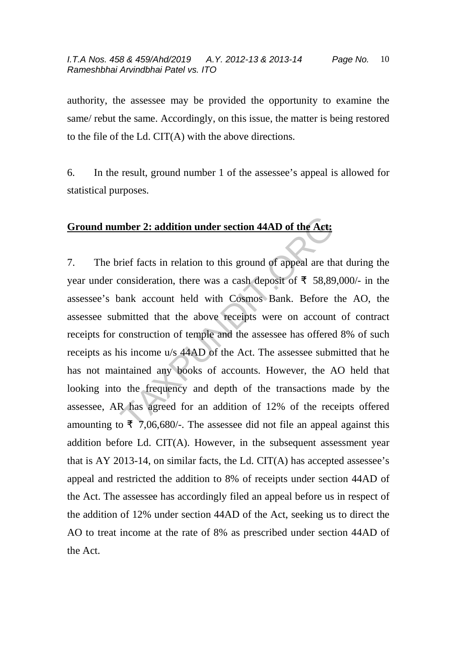authority, the assessee may be provided the opportunity to examine the same/ rebut the same. Accordingly, on this issue, the matter is being restored to the file of the Ld. CIT(A) with the above directions.

6. In the result, ground number 1 of the assessee's appeal is allowed for statistical purposes.

## **Ground number 2: addition under section 44AD of the Act:**

7. The brief facts in relation to this ground of appeal are that during the year under consideration, there was a cash deposit of  $\bar{\tau}$  58,89,000/- in the assessee's bank account held with Cosmos Bank. Before the AO, the assessee submitted that the above receipts were on account of contract receipts for construction of temple and the assessee has offered 8% of such receipts as his income u/s 44AD of the Act. The assessee submitted that he has not maintained any books of accounts. However, the AO held that looking into the frequency and depth of the transactions made by the assessee, AR has agreed for an addition of 12% of the receipts offered amounting to  $\overline{5}$ , 7,06,680/-. The assessee did not file an appeal against this addition before Ld. CIT(A). However, in the subsequent assessment year that is AY 2013-14, on similar facts, the Ld. CIT(A) has accepted assessee's appeal and restricted the addition to 8% of receipts under section 44AD of the Act. The assessee has accordingly filed an appeal before us in respect of the addition of 12% under section 44AD of the Act, seeking us to direct the AO to treat income at the rate of 8% as prescribed under section 44AD of the Act. mber 2: addition under section 44AD of the Act:<br>rief facts in relation to this ground of appeal are th<br>consideration, there was a cash deposit of  $\overline{5}$  58,89<br>pank account held with Cosmos Bank. Before to<br>omitted that t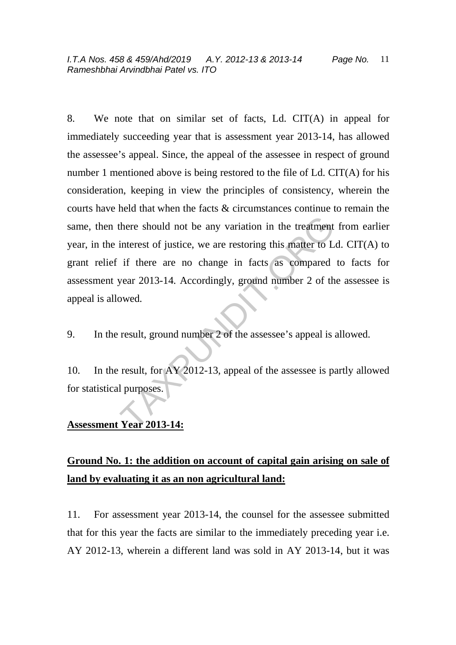8. We note that on similar set of facts, Ld. CIT(A) in appeal for immediately succeeding year that is assessment year 2013-14, has allowed the assessee's appeal. Since, the appeal of the assessee in respect of ground number 1 mentioned above is being restored to the file of Ld. CIT(A) for his consideration, keeping in view the principles of consistency, wherein the courts have held that when the facts & circumstances continue to remain the same, then there should not be any variation in the treatment from earlier year, in the interest of justice, we are restoring this matter to Ld. CIT(A) to grant relief if there are no change in facts as compared to facts for assessment year 2013-14. Accordingly, ground number 2 of the assessee is appeal is allowed. there should not be any variation in the treatment<br>interest of justice, we are restoring this matter to L<br>if there are no change in facts as compared<br>year 2013-14. Accordingly, ground number 2 of th<br>owed.<br>result, ground nu

9. In the result, ground number 2 of the assessee's appeal is allowed.

10. In the result, for AY 2012-13, appeal of the assessee is partly allowed for statistical purposes.

## **Assessment Year 2013-14:**

# **Ground No. 1: the addition on account of capital gain arising on sale of land by evaluating it as an non agricultural land:**

11. For assessment year 2013-14, the counsel for the assessee submitted that for this year the facts are similar to the immediately preceding year i.e. AY 2012-13, wherein a different land was sold in AY 2013-14, but it was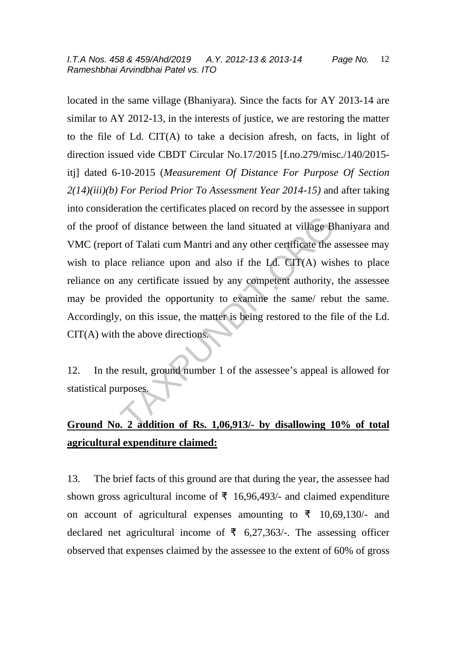located in the same village (Bhaniyara). Since the facts for AY 2013-14 are similar to AY 2012-13, in the interests of justice, we are restoring the matter to the file of Ld. CIT(A) to take a decision afresh, on facts, in light of direction issued vide CBDT Circular No.17/2015 [f.no.279/misc./140/2015 itj] dated 6-10-2015 (*Measurement Of Distance For Purpose Of Section 2(14)(iii)(b) For Period Prior To Assessment Year 2014-15)* and after taking into consideration the certificates placed on record by the assessee in support of the proof of distance between the land situated at village Bhaniyara and VMC (report of Talati cum Mantri and any other certificate the assessee may wish to place reliance upon and also if the Ld. CIT(A) wishes to place reliance on any certificate issued by any competent authority, the assessee may be provided the opportunity to examine the same/ rebut the same. Accordingly, on this issue, the matter is being restored to the file of the Ld. CIT(A) with the above directions. of distance between the land situated at village B<br>t of Talati cum Mantri and any other certificate the :<br>ce reliance upon and also if the Ld. CIT(A) wis<br>any certificate issued by any competent authority,<br>wided the opportu

12. In the result, ground number 1 of the assessee's appeal is allowed for statistical purposes.

# **Ground No. 2 addition of Rs. 1,06,913/- by disallowing 10% of total agricultural expenditure claimed:**

13. The brief facts of this ground are that during the year, the assessee had shown gross agricultural income of  $\bar{\tau}$  16,96,493/- and claimed expenditure on account of agricultural expenses amounting to  $\bar{\tau}$  10,69,130/- and declared net agricultural income of  $\bar{\tau}$  6,27,363/-. The assessing officer observed that expenses claimed by the assessee to the extent of 60% of gross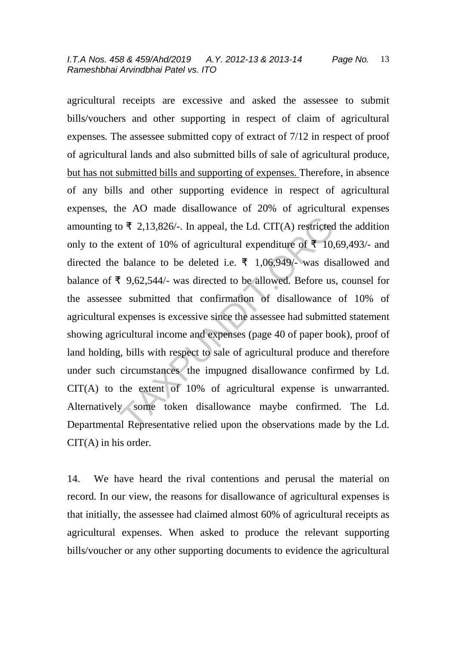agricultural receipts are excessive and asked the assessee to submit bills/vouchers and other supporting in respect of claim of agricultural expenses. The assessee submitted copy of extract of 7/12 in respect of proof of agricultural lands and also submitted bills of sale of agricultural produce, but has not submitted bills and supporting of expenses. Therefore, in absence of any bills and other supporting evidence in respect of agricultural expenses, the AO made disallowance of 20% of agricultural expenses amounting to  $\bar{\tau}$  2,13,826/-. In appeal, the Ld. CIT(A) restricted the addition only to the extent of 10% of agricultural expenditure of  $\bar{\mathbf{z}}$  10,69,493/- and directed the balance to be deleted i.e.  $\bar{f}$  1,06,949/- was disallowed and balance of  $\bar{\tau}$  9,62,544/- was directed to be allowed. Before us, counsel for the assessee submitted that confirmation of disallowance of 10% of agricultural expenses is excessive since the assessee had submitted statement showing agricultural income and expenses (page 40 of paper book), proof of land holding, bills with respect to sale of agricultural produce and therefore under such circumstances the impugned disallowance confirmed by Ld. CIT(A) to the extent of 10% of agricultural expense is unwarranted. Alternatively some token disallowance maybe confirmed. The Ld. Departmental Representative relied upon the observations made by the Ld. CIT(A) in his order. o ₹ 2,13,826/-. In appeal, the Ld. CIT(A) restricted<br>extent of 10% of agricultural expenditure of ₹ 10,<br>balance to be deleted i.e. ₹ 1,06,949/- was dis<br>f 9,62,544/- was directed to be allowed. Before us<br>e submitted that

14. We have heard the rival contentions and perusal the material on record. In our view, the reasons for disallowance of agricultural expenses is that initially, the assessee had claimed almost 60% of agricultural receipts as agricultural expenses. When asked to produce the relevant supporting bills/voucher or any other supporting documents to evidence the agricultural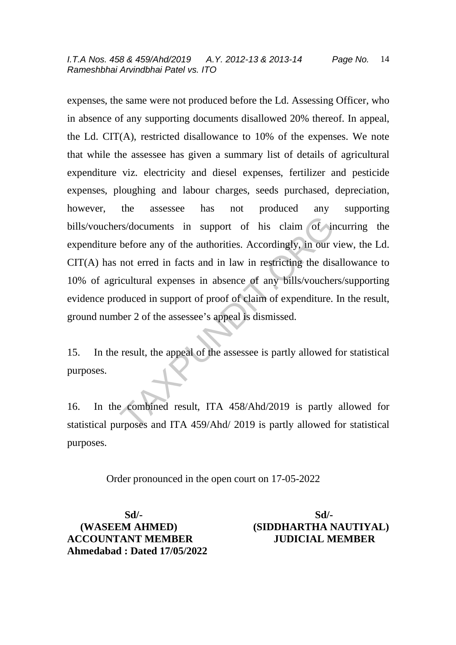expenses, the same were not produced before the Ld. Assessing Officer, who in absence of any supporting documents disallowed 20% thereof. In appeal, the Ld. CIT(A), restricted disallowance to 10% of the expenses. We note that while the assessee has given a summary list of details of agricultural expenditure viz. electricity and diesel expenses, fertilizer and pesticide expenses, ploughing and labour charges, seeds purchased, depreciation, however, the assessee has not produced any supporting bills/vouchers/documents in support of his claim of incurring the expenditure before any of the authorities. Accordingly, in our view, the Ld. CIT(A) has not erred in facts and in law in restricting the disallowance to 10% of agricultural expenses in absence of any bills/vouchers/supporting evidence produced in support of proof of claim of expenditure. In the result, ground number 2 of the assessee's appeal is dismissed. rs/documents in support of his claim of ir<br>before any of the authorities. Accordingly, in our v<br>not erred in facts and in law in restricting the dis<br>icultural expenses in absence of any bills/voucher<br>bduced in support of p

15. In the result, the appeal of the assessee is partly allowed for statistical purposes.

16. In the combined result, ITA 458/Ahd/2019 is partly allowed for statistical purposes and ITA 459/Ahd/ 2019 is partly allowed for statistical purposes.

Order pronounced in the open court on 17-05-2022

 **Sd/- Sd/- ACCOUNTANT MEMBER JUDICIAL MEMBER Ahmedabad : Dated 17/05/2022** 

 **(WASEEM AHMED) (SIDDHARTHA NAUTIYAL)**